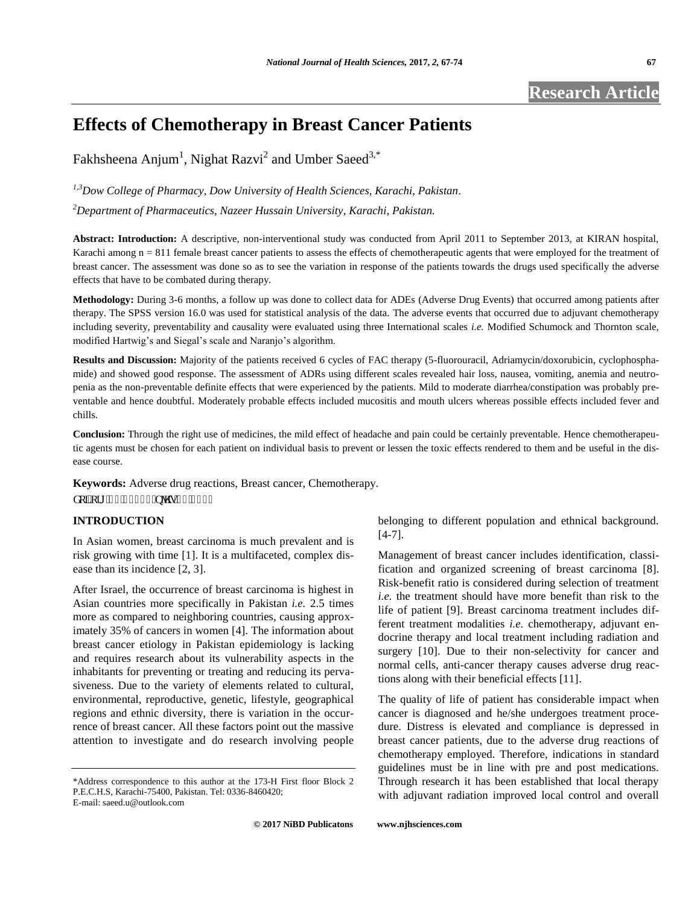**Research Article** 

# **Effects of Chemotherapy in Breast Cancer Patients**

Fakhsheena Anjum<sup>1</sup>, Nighat Razvi<sup>2</sup> and Umber Saeed<sup>3,\*</sup>

*1,3Dow College of Pharmacy, Dow University of Health Sciences, Karachi, Pakistan. <sup>2</sup>Department of Pharmaceutics, Nazeer Hussain University, Karachi, Pakistan.* 

**Abstract: Introduction:** A descriptive, non-interventional study was conducted from April 2011 to September 2013, at KIRAN hospital, Karachi among n = 811 female breast cancer patients to assess the effects of chemotherapeutic agents that were employed for the treatment of breast cancer. The assessment was done so as to see the variation in response of the patients towards the drugs used specifically the adverse effects that have to be combated during therapy.

**Methodology:** During 3-6 months, a follow up was done to collect data for ADEs (Adverse Drug Events) that occurred among patients after therapy. The SPSS version 16.0 was used for statistical analysis of the data. The adverse events that occurred due to adjuvant chemotherapy including severity, preventability and causality were evaluated using three International scales *i.e.* Modified Schumock and Thornton scale, modified Hartwig's and Siegal's scale and Naranjo's algorithm.

**Results and Discussion:** Majority of the patients received 6 cycles of FAC therapy (5-fluorouracil, Adriamycin/doxorubicin, cyclophosphamide) and showed good response. The assessment of ADRs using different scales revealed hair loss, nausea, vomiting, anemia and neutropenia as the non-preventable definite effects that were experienced by the patients. Mild to moderate diarrhea/constipation was probably preventable and hence doubtful. Moderately probable effects included mucositis and mouth ulcers whereas possible effects included fever and chills.

**Conclusion:** Through the right use of medicines, the mild effect of headache and pain could be certainly preventable. Hence chemotherapeutic agents must be chosen for each patient on individual basis to prevent or lessen the toxic effects rendered to them and be useful in the disease course.

**Keywords:** Adverse drug reactions, Breast cancer, Chemotherapy. f qkQqti 1320432: ; lplj u04402289

# **INTRODUCTION**

In Asian women, breast carcinoma is much prevalent and is risk growing with time [1]. It is a multifaceted, complex disease than its incidence [2, 3].

After Israel, the occurrence of breast carcinoma is highest in Asian countries more specifically in Pakistan *i.e.* 2.5 times more as compared to neighboring countries, causing approximately 35% of cancers in women [4]. The information about breast cancer etiology in Pakistan epidemiology is lacking and requires research about its vulnerability aspects in the inhabitants for preventing or treating and reducing its pervasiveness. Due to the variety of elements related to cultural, environmental, reproductive, genetic, lifestyle, geographical regions and ethnic diversity, there is variation in the occurrence of breast cancer. All these factors point out the massive attention to investigate and do research involving people belonging to different population and ethnical background. [4-7].

Management of breast cancer includes identification, classification and organized screening of breast carcinoma [8]. Risk-benefit ratio is considered during selection of treatment *i.e.* the treatment should have more benefit than risk to the life of patient [9]. Breast carcinoma treatment includes different treatment modalities *i.e.* chemotherapy, adjuvant endocrine therapy and local treatment including radiation and surgery [10]. Due to their non-selectivity for cancer and normal cells, anti-cancer therapy causes adverse drug reactions along with their beneficial effects [11].

The quality of life of patient has considerable impact when cancer is diagnosed and he/she undergoes treatment procedure. Distress is elevated and compliance is depressed in breast cancer patients, due to the adverse drug reactions of chemotherapy employed. Therefore, indications in standard guidelines must be in line with pre and post medications. Through research it has been established that local therapy with adjuvant radiation improved local control and overall

<sup>\*</sup>Address correspondence to this author at the 173-H First floor Block 2 P.E.C.H.S, Karachi-75400, Pakistan. Tel: 0336-8460420; E-mail: saeed.u@outlook.com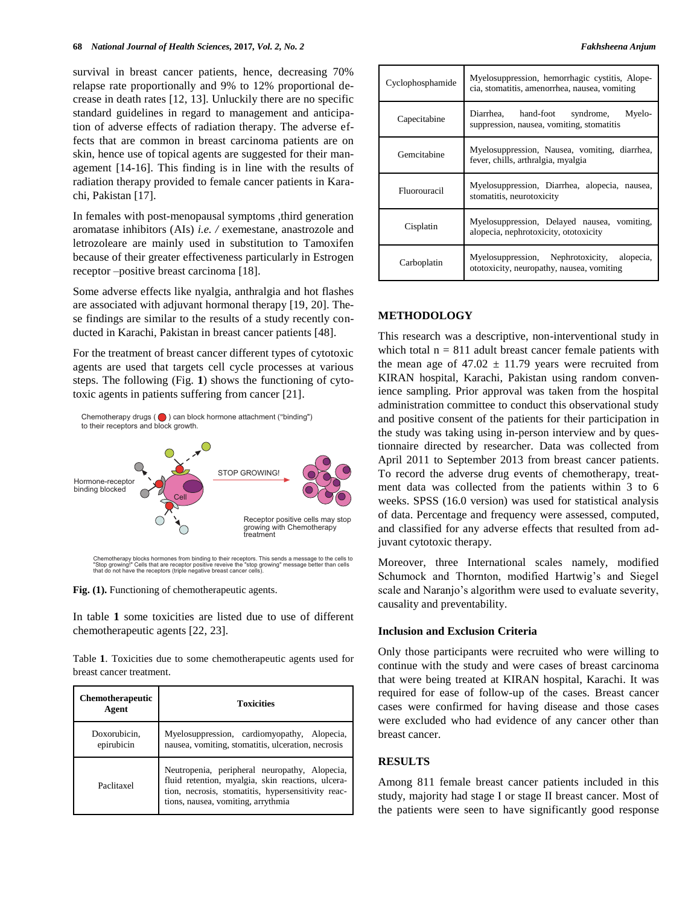survival in breast cancer patients, hence, decreasing 70% relapse rate proportionally and 9% to 12% proportional decrease in death rates [12, 13]. Unluckily there are no specific standard guidelines in regard to management and anticipation of adverse effects of radiation therapy. The adverse effects that are common in breast carcinoma patients are on skin, hence use of topical agents are suggested for their management [14-16]. This finding is in line with the results of radiation therapy provided to female cancer patients in Karachi, Pakistan [17].

In females with post-menopausal symptoms ,third generation aromatase inhibitors (AIs) *i.e. /* exemestane, anastrozole and letrozoleare are mainly used in substitution to Tamoxifen because of their greater effectiveness particularly in Estrogen receptor –positive breast carcinoma [18].

Some adverse effects like nyalgia, anthralgia and hot flashes are associated with adjuvant hormonal therapy [19, 20]. These findings are similar to the results of a study recently conducted in Karachi, Pakistan in breast cancer patients [48].

For the treatment of breast cancer different types of cytotoxic agents are used that targets cell cycle processes at various steps. The following (Fig. **1**) shows the functioning of cytotoxic agents in patients suffering from cancer [21].

Chemotherapy drugs  $( \bigcirc )$  can block hormone attachment ("binding") to their receptors and block growth.



**Fig. (1).** Functioning of chemotherapeutic agents.

In table **1** some toxicities are listed due to use of different chemotherapeutic agents [22, 23].

Table **1**. Toxicities due to some chemotherapeutic agents used for breast cancer treatment.

| <b>Chemotherapeutic</b><br>Agent | <b>Toxicities</b>                                                                                                                                                                              |
|----------------------------------|------------------------------------------------------------------------------------------------------------------------------------------------------------------------------------------------|
| Doxorubicin,<br>epirubicin       | Myelosuppression, cardiomyopathy, Alopecia,<br>nausea, vomiting, stomatitis, ulceration, necrosis                                                                                              |
| Paclitaxel                       | Neutropenia, peripheral neuropathy, Alopecia,<br>fluid retention, myalgia, skin reactions, ulcera-<br>tion, necrosis, stomatitis, hypersensitivity reac-<br>tions, nausea, vomiting, arrythmia |

| Cyclophosphamide | Myelosuppression, hemorrhagic cystitis, Alope-<br>cia, stomatitis, amenorrhea, nausea, vomiting |
|------------------|-------------------------------------------------------------------------------------------------|
| Capecitabine     | Diarrhea, hand-foot syndrome,<br>Myelo-<br>suppression, nausea, vomiting, stomatitis            |
| Gemcitabine      | Myelosuppression, Nausea, vomiting, diarrhea,<br>fever, chills, arthralgia, myalgia             |
| Fluorouracil     | Myelosuppression, Diarrhea, alopecia, nausea,<br>stomatitis, neurotoxicity                      |
| Cisplatin        | Myelosuppression, Delayed nausea, vomiting,<br>alopecia, nephrotoxicity, ototoxicity            |
|                  |                                                                                                 |

### **METHODOLOGY**

This research was a descriptive, non-interventional study in which total  $n = 811$  adult breast cancer female patients with the mean age of  $47.02 \pm 11.79$  years were recruited from KIRAN hospital, Karachi, Pakistan using random convenience sampling. Prior approval was taken from the hospital administration committee to conduct this observational study and positive consent of the patients for their participation in the study was taking using in-person interview and by questionnaire directed by researcher. Data was collected from April 2011 to September 2013 from breast cancer patients. To record the adverse drug events of chemotherapy, treatment data was collected from the patients within 3 to 6 weeks. SPSS (16.0 version) was used for statistical analysis of data. Percentage and frequency were assessed, computed, and classified for any adverse effects that resulted from adjuvant cytotoxic therapy.

Moreover, three International scales namely, modified Schumock and Thornton, modified Hartwig's and Siegel scale and Naranjo's algorithm were used to evaluate severity, causality and preventability.

#### **Inclusion and Exclusion Criteria**

Only those participants were recruited who were willing to continue with the study and were cases of breast carcinoma that were being treated at KIRAN hospital, Karachi. It was required for ease of follow-up of the cases. Breast cancer cases were confirmed for having disease and those cases were excluded who had evidence of any cancer other than breast cancer.

# **RESULTS**

Among 811 female breast cancer patients included in this study, majority had stage I or stage II breast cancer. Most of the patients were seen to have significantly good response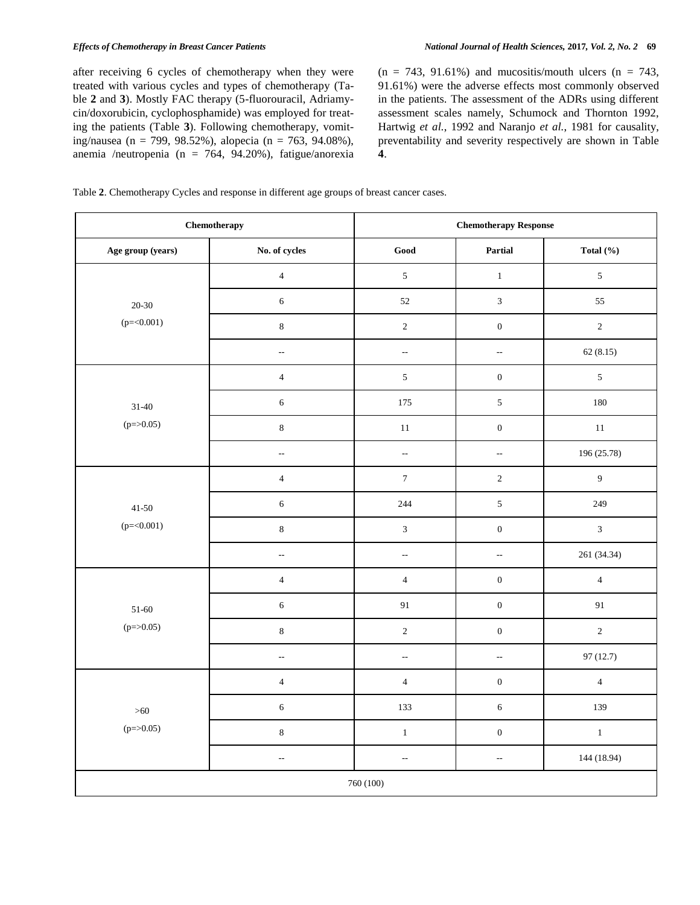after receiving 6 cycles of chemotherapy when they were treated with various cycles and types of chemotherapy (Table **2** and **3**). Mostly FAC therapy (5-fluorouracil, Adriamycin/doxorubicin, cyclophosphamide) was employed for treating the patients (Table **3**). Following chemotherapy, vomiting/nausea (n = 799, 98.52%), alopecia (n = 763, 94.08%), anemia /neutropenia (n = 764, 94.20%), fatigue/anorexia  $(n = 743, 91.61\%)$  and mucositis/mouth ulcers  $(n = 743,$ 91.61%) were the adverse effects most commonly observed in the patients. The assessment of the ADRs using different assessment scales namely, Schumock and Thornton 1992, Hartwig *et al.*, 1992 and Naranjo *et al.*, 1981 for causality, preventability and severity respectively are shown in Table **4**.

Table **2**. Chemotherapy Cycles and response in different age groups of breast cancer cases.

|                   | Chemotherapy             | <b>Chemotherapy Response</b> |                          |                  |  |  |  |
|-------------------|--------------------------|------------------------------|--------------------------|------------------|--|--|--|
| Age group (years) | No. of cycles            | $\mathbf{Good}$              | Partial                  | Total $(\% )$    |  |  |  |
|                   | $\overline{4}$           | $\sqrt{5}$                   | $\,1\,$                  | $\sqrt{5}$       |  |  |  |
| $20 - 30$         | $\sqrt{6}$               | 52                           | $\mathfrak{Z}$           | 55               |  |  |  |
| $(p=<0.001)$      | $\,8\,$                  | $\sqrt{2}$                   | $\boldsymbol{0}$         | $\sqrt{2}$       |  |  |  |
|                   | $\overline{\phantom{a}}$ | $\overline{\phantom{a}}$     | $\overline{a}$           | 62(8.15)         |  |  |  |
|                   | $\sqrt{4}$               | $\sqrt{5}$                   | $\boldsymbol{0}$         | $\sqrt{5}$       |  |  |  |
| $31 - 40$         | $\sqrt{6}$               | 175                          | $\sqrt{5}$               | 180              |  |  |  |
| $(p = > 0.05)$    | $\,8\,$                  | $11\,$                       | $\boldsymbol{0}$         | $11\,$           |  |  |  |
|                   | $\overline{\phantom{a}}$ | $\overline{\phantom{a}}$     | $\overline{\phantom{a}}$ | 196 (25.78)      |  |  |  |
|                   | $\overline{4}$           | $\boldsymbol{7}$             | $\sqrt{2}$               | $\boldsymbol{9}$ |  |  |  |
| $41 - 50$         | $\sqrt{6}$               | 244                          | $\sqrt{5}$               | 249              |  |  |  |
| $(p=<0.001)$      | $\,8\,$                  | $\mathfrak{Z}$               | $\boldsymbol{0}$         | $\overline{3}$   |  |  |  |
|                   | $\bar{\mathcal{L}}$      | $\bar{\phantom{a}}$          | $\overline{\phantom{a}}$ | 261 (34.34)      |  |  |  |
|                   | $\sqrt{4}$               | $\overline{4}$               | $\boldsymbol{0}$         | $\overline{4}$   |  |  |  |
| $51 - 60$         | $\sqrt{6}$               | 91                           | $\boldsymbol{0}$         | 91               |  |  |  |
| $(p = > 0.05)$    | $\,8\,$                  | $\sqrt{2}$                   | $\boldsymbol{0}$         | $\sqrt{2}$       |  |  |  |
|                   | $\sim$                   | $\overline{\phantom{a}}$     | $\sim$                   | 97(12.7)         |  |  |  |
|                   | $\sqrt{4}$               | $\overline{4}$               | $\boldsymbol{0}$         | $\overline{4}$   |  |  |  |
| $>60$             | $\sqrt{6}$               | 133                          | $\sqrt{6}$               | 139              |  |  |  |
| $(p = > 0.05)$    | $\,8\,$                  | $\,1$                        | $\boldsymbol{0}$         | $\,1$            |  |  |  |
|                   | $\overline{\phantom{a}}$ | ٠.                           | $\overline{\phantom{a}}$ | 144 (18.94)      |  |  |  |
|                   |                          | 760 (100)                    |                          |                  |  |  |  |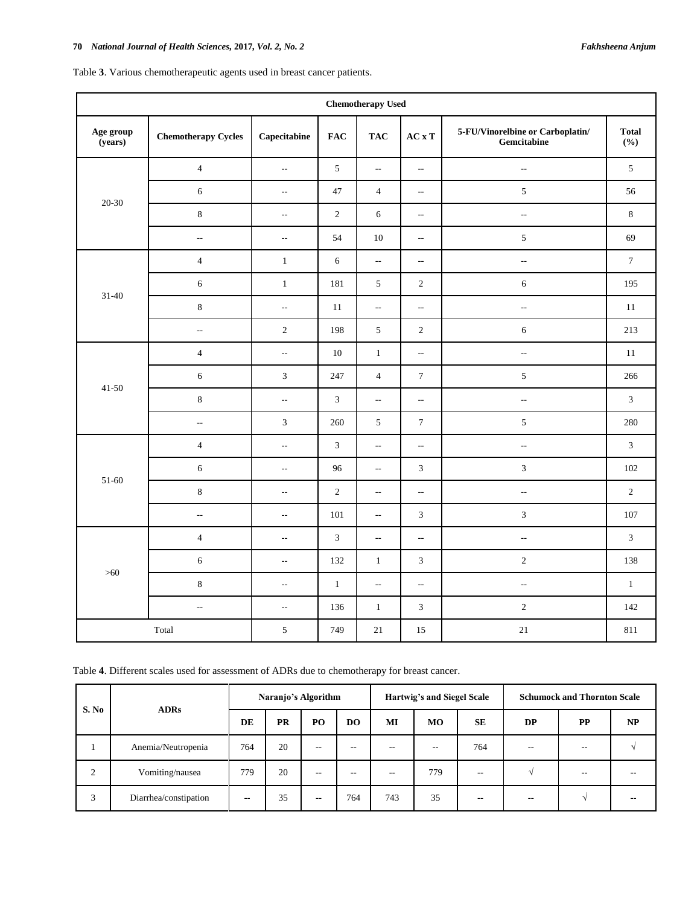|  |  |  |  |  |  | Table 3. Various chemotherapeutic agents used in breast cancer patients. |  |
|--|--|--|--|--|--|--------------------------------------------------------------------------|--|
|--|--|--|--|--|--|--------------------------------------------------------------------------|--|

| <b>Chemotherapy Used</b> |                            |                           |                |                             |                           |                                                                  |                     |  |  |  |
|--------------------------|----------------------------|---------------------------|----------------|-----------------------------|---------------------------|------------------------------------------------------------------|---------------------|--|--|--|
| Age group<br>(years)     | <b>Chemotherapy Cycles</b> | Capecitabine              | <b>FAC</b>     | <b>TAC</b>                  | $ACxT$                    | 5-FU/Vinorelbine or Carboplatin/<br>${\bf \textbf{Gemcitabine}}$ | <b>Total</b><br>(%) |  |  |  |
|                          | $\overline{4}$             | $\mathbb{Z}^2$            | $\sqrt{5}$     | $\bar{\phantom{a}}$         | $\sim$                    | $\overline{\phantom{a}}$                                         | $\sqrt{5}$          |  |  |  |
| 20-30                    | $\sqrt{6}$                 | $\overline{\phantom{a}}$  | 47             | $\overline{4}$              | $\overline{\phantom{a}}$  | $\mathfrak{S}$                                                   | 56                  |  |  |  |
|                          | $\,8\,$                    | $\mathbb{H}^{\mathbb{H}}$ | $\sqrt{2}$     | 6                           | $\overline{\phantom{a}}$  | $\mathbb{L}^{\mathbb{L}}$                                        | $\,8\,$             |  |  |  |
|                          | $\overline{\phantom{a}}$   | $\sim$                    | 54             | 10                          | $\overline{\phantom{a}}$  | $\mathfrak{S}$                                                   | 69                  |  |  |  |
|                          | $\overline{4}$             | $\,1\,$                   | $\sqrt{6}$     | $\overline{\phantom{a}}$    | $\overline{\phantom{a}}$  | $\overline{\phantom{a}}$                                         | $\boldsymbol{7}$    |  |  |  |
| $31 - 40$                | $\sqrt{6}$                 | $1\,$                     | 181            | $5\,$                       | $\overline{c}$            | 6                                                                | 195                 |  |  |  |
|                          | $\,8\,$                    | $\overline{\phantom{a}}$  | 11             | $\overline{\phantom{a}}$    | $\overline{\phantom{a}}$  | $\overline{\phantom{a}}$                                         | 11                  |  |  |  |
|                          | $\bar{\mathcal{L}}$        | $\sqrt{2}$                | 198            | $5\,$                       | $\sqrt{2}$                | $\sqrt{6}$                                                       | 213                 |  |  |  |
|                          | $\overline{4}$             | $\overline{\phantom{a}}$  | $10\,$         | $\mathbf{1}$                | $\overline{\phantom{a}}$  | $\overline{\phantom{a}}$                                         | $11\,$              |  |  |  |
| 41-50                    | 6                          | $\mathfrak{Z}$            | 247            | $\overline{4}$              | $\tau$                    | $\mathfrak{S}$                                                   | 266                 |  |  |  |
|                          | $\,8\,$                    | $\mathbb{Z}^2$            | $\mathfrak{Z}$ | $\sim$                      | $\overline{\phantom{a}}$  | $\bar{\phantom{a}}$                                              | $\mathfrak{Z}$      |  |  |  |
|                          | $\overline{\phantom{a}}$   | $\overline{3}$            | 260            | $5\,$                       | $\boldsymbol{7}$          | $\sqrt{5}$                                                       | 280                 |  |  |  |
|                          | $\overline{4}$             | $\overline{\phantom{a}}$  | $\overline{3}$ | $\mathcal{L}_{\mathcal{F}}$ | $\overline{\phantom{a}}$  | $\sim$                                                           | $\overline{3}$      |  |  |  |
| 51-60                    | $\sqrt{6}$                 | $\sim$                    | 96             | $\sim$                      | $\sqrt{3}$                | $\mathfrak{Z}$                                                   | 102                 |  |  |  |
|                          | $\,8\,$                    | $\sim$                    | $\overline{2}$ | $\overline{\phantom{a}}$    | $\overline{\phantom{a}}$  | $\overline{\phantom{a}}$                                         | $\sqrt{2}$          |  |  |  |
|                          | $\bar{\mathcal{L}}$        | $\overline{\phantom{a}}$  | 101            | $\bar{\phantom{a}}$         | $\mathfrak{Z}$            | $\sqrt{3}$                                                       | 107                 |  |  |  |
|                          | $\overline{4}$             | $\overline{\phantom{a}}$  | $\mathfrak{Z}$ | $\mathbb{L}^{\mathbb{L}}$   | $\overline{\phantom{a}}$  | $\overline{\phantom{a}}$                                         | $\mathfrak{Z}$      |  |  |  |
| $>60$                    | $\sqrt{6}$                 | $\overline{\phantom{a}}$  | 132            | $\,1\,$                     | $\sqrt{3}$                | $\sqrt{2}$                                                       | 138                 |  |  |  |
|                          | $\,8\,$                    | $\sim$                    | $\mathbf{1}$   | $\sim$                      | $\mathbb{H}^{\mathbb{H}}$ | $\sim$                                                           | $\mathbf{1}$        |  |  |  |
|                          | $\overline{\phantom{a}}$   | $\overline{\phantom{a}}$  | 136            | $1\,$                       | $\sqrt{3}$                | $\sqrt{2}$                                                       | 142                 |  |  |  |
|                          | Total                      | $5\,$                     | 749            | 21                          | 15                        | $21\,$                                                           | 811                 |  |  |  |

Table **4**. Different scales used for assessment of ADRs due to chemotherapy for breast cancer.

| S. No<br><b>ADRs</b> |                       | Naranjo's Algorithm |                |               | Hartwig's and Siegel Scale |     |           | <b>Schumock and Thornton Scale</b> |                          |       |  |
|----------------------|-----------------------|---------------------|----------------|---------------|----------------------------|-----|-----------|------------------------------------|--------------------------|-------|--|
|                      | DE                    | <b>PR</b>           | P <sub>O</sub> | <b>DO</b>     | МI                         | MO  | <b>SE</b> | <b>DP</b>                          | <b>PP</b>                | NP    |  |
|                      | Anemia/Neutropenia    | 764                 | 20             | $\sim$ $\sim$ | $-1$                       | $-$ | $- -$     | 764                                | $\overline{\phantom{m}}$ | $-$   |  |
| 2                    | Vomiting/nausea       | 779                 | 20             | $- -$         | $- -$                      | $-$ | 779       | --                                 |                          | $- -$ |  |
| 3                    | Diarrhea/constipation | $- -$               | 35             | $- -$         | 764                        | 743 | 35        | --                                 | $- -$                    |       |  |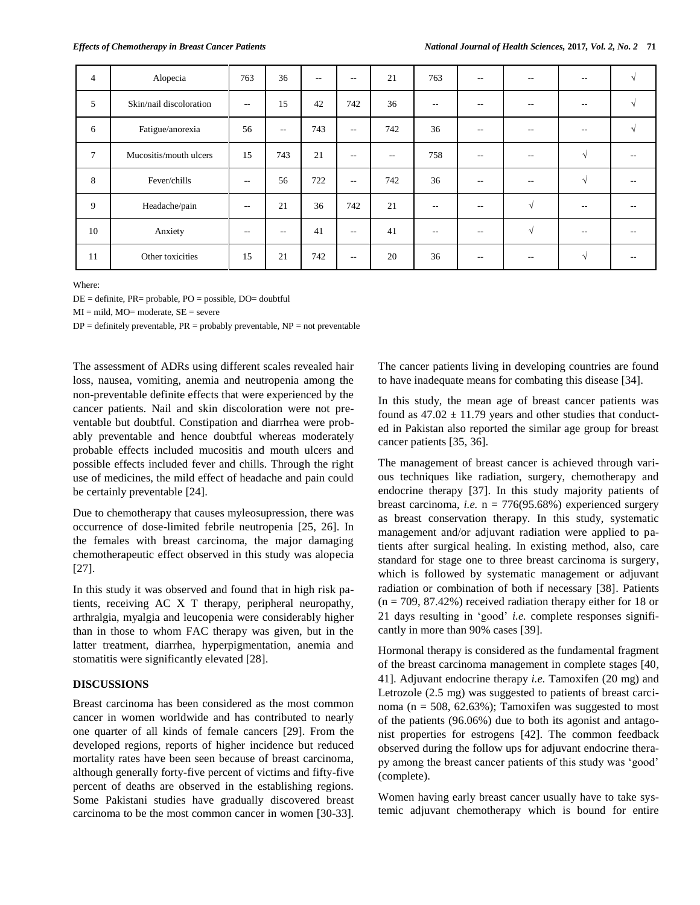| $\overline{4}$ | Alopecia                | 763               | 36    | $-$ | $-$           | 21  | 763                      | $-$                      | $-$        | --         |  |
|----------------|-------------------------|-------------------|-------|-----|---------------|-----|--------------------------|--------------------------|------------|------------|--|
| 5              | Skin/nail discoloration | $\overline{a}$    | 15    | 42  | 742           | 36  | $-$                      |                          |            |            |  |
| 6              | Fatigue/anorexia        | 56                | $- -$ | 743 | $\frac{1}{2}$ | 742 | 36                       | $- -$                    | $-$        | $-$        |  |
| $\tau$         | Mucositis/mouth ulcers  | 15                | 743   | 21  | $-$           | --  | 758                      | --                       | $-$        | $\sqrt{ }$ |  |
| 8              | Fever/chills            | $ -$              | 56    | 722 | $ -$          | 742 | 36                       | $-$                      | $-$        | $\sqrt{ }$ |  |
| 9              | Headache/pain           | $ -$              | 21    | 36  | 742           | 21  | $-$                      | $- -$                    | $\sim$     | $-$        |  |
| 10             | Anxiety                 | $\qquad \qquad -$ | $- -$ | 41  | $ -$          | 41  | $\overline{\phantom{a}}$ | $- -$                    | $\sqrt{ }$ | $- -$      |  |
| 11             | Other toxicities        | 15                | 21    | 742 | $- -$         | 20  | 36                       | $\overline{\phantom{m}}$ | $- -$      | $\sqrt{ }$ |  |

Where:

DE = definite, PR= probable, PO = possible, DO= doubtful

 $MI = mild, MO = moderate, SE = severe$ 

 $DP =$  definitely preventable,  $PR =$  probably preventable,  $NP =$  not preventable

The assessment of ADRs using different scales revealed hair loss, nausea, vomiting, anemia and neutropenia among the non-preventable definite effects that were experienced by the cancer patients. Nail and skin discoloration were not preventable but doubtful. Constipation and diarrhea were probably preventable and hence doubtful whereas moderately probable effects included mucositis and mouth ulcers and possible effects included fever and chills. Through the right use of medicines, the mild effect of headache and pain could be certainly preventable [24].

Due to chemotherapy that causes myleosupression, there was occurrence of dose-limited febrile neutropenia [25, 26]. In the females with breast carcinoma, the major damaging chemotherapeutic effect observed in this study was alopecia [27].

In this study it was observed and found that in high risk patients, receiving AC X T therapy, peripheral neuropathy, arthralgia, myalgia and leucopenia were considerably higher than in those to whom FAC therapy was given, but in the latter treatment, diarrhea, hyperpigmentation, anemia and stomatitis were significantly elevated [28].

# **DISCUSSIONS**

Breast carcinoma has been considered as the most common cancer in women worldwide and has contributed to nearly one quarter of all kinds of female cancers [29]. From the developed regions, reports of higher incidence but reduced mortality rates have been seen because of breast carcinoma, although generally forty-five percent of victims and fifty-five percent of deaths are observed in the establishing regions. Some Pakistani studies have gradually discovered breast carcinoma to be the most common cancer in women [30-33].

The cancer patients living in developing countries are found to have inadequate means for combating this disease [34].

In this study, the mean age of breast cancer patients was found as  $47.02 \pm 11.79$  years and other studies that conducted in Pakistan also reported the similar age group for breast cancer patients [35, 36].

The management of breast cancer is achieved through various techniques like radiation, surgery, chemotherapy and endocrine therapy [37]. In this study majority patients of breast carcinoma, *i.e.* n = 776(95.68%) experienced surgery as breast conservation therapy. In this study, systematic management and/or adjuvant radiation were applied to patients after surgical healing. In existing method, also, care standard for stage one to three breast carcinoma is surgery, which is followed by systematic management or adjuvant radiation or combination of both if necessary [38]. Patients  $(n = 709, 87.42\%)$  received radiation therapy either for 18 or 21 days resulting in 'good' *i.e.* complete responses significantly in more than 90% cases [39].

Hormonal therapy is considered as the fundamental fragment of the breast carcinoma management in complete stages [40, 41]. Adjuvant endocrine therapy *i.e.* Tamoxifen (20 mg) and Letrozole (2.5 mg) was suggested to patients of breast carcinoma ( $n = 508$ , 62.63%); Tamoxifen was suggested to most of the patients (96.06%) due to both its agonist and antagonist properties for estrogens [42]. The common feedback observed during the follow ups for adjuvant endocrine therapy among the breast cancer patients of this study was 'good' (complete).

Women having early breast cancer usually have to take systemic adjuvant chemotherapy which is bound for entire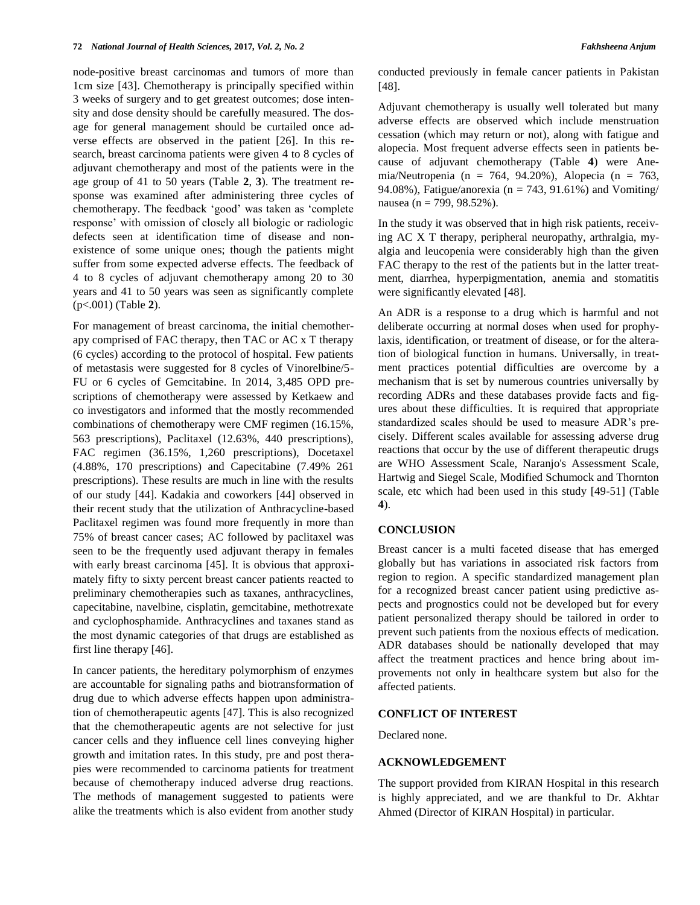node-positive breast carcinomas and tumors of more than 1cm size [43]. Chemotherapy is principally specified within 3 weeks of surgery and to get greatest outcomes; dose intensity and dose density should be carefully measured. The dosage for general management should be curtailed once adverse effects are observed in the patient [26]. In this research, breast carcinoma patients were given 4 to 8 cycles of adjuvant chemotherapy and most of the patients were in the age group of 41 to 50 years (Table **2**, **3**). The treatment response was examined after administering three cycles of chemotherapy. The feedback 'good' was taken as 'complete response' with omission of closely all biologic or radiologic defects seen at identification time of disease and nonexistence of some unique ones; though the patients might suffer from some expected adverse effects. The feedback of 4 to 8 cycles of adjuvant chemotherapy among 20 to 30 years and 41 to 50 years was seen as significantly complete (p<.001) (Table **2**).

For management of breast carcinoma, the initial chemotherapy comprised of FAC therapy, then TAC or AC x T therapy (6 cycles) according to the protocol of hospital. Few patients of metastasis were suggested for 8 cycles of Vinorelbine/5- FU or 6 cycles of Gemcitabine. In 2014, 3,485 OPD prescriptions of chemotherapy were assessed by Ketkaew and co investigators and informed that the mostly recommended combinations of chemotherapy were CMF regimen (16.15%, 563 prescriptions), Paclitaxel (12.63%, 440 prescriptions), FAC regimen (36.15%, 1,260 prescriptions), Docetaxel (4.88%, 170 prescriptions) and Capecitabine (7.49% 261 prescriptions). These results are much in line with the results of our study [44]. Kadakia and coworkers [44] observed in their recent study that the utilization of Anthracycline-based Paclitaxel regimen was found more frequently in more than 75% of breast cancer cases; AC followed by paclitaxel was seen to be the frequently used adjuvant therapy in females with early breast carcinoma [45]. It is obvious that approximately fifty to sixty percent breast cancer patients reacted to preliminary chemotherapies such as taxanes, anthracyclines, capecitabine, navelbine, cisplatin, gemcitabine, methotrexate and cyclophosphamide. Anthracyclines and taxanes stand as the most dynamic categories of that drugs are established as first line therapy [46].

In cancer patients, the hereditary polymorphism of enzymes are accountable for signaling paths and biotransformation of drug due to which adverse effects happen upon administration of chemotherapeutic agents [47]. This is also recognized that the chemotherapeutic agents are not selective for just cancer cells and they influence cell lines conveying higher growth and imitation rates. In this study, pre and post therapies were recommended to carcinoma patients for treatment because of chemotherapy induced adverse drug reactions. The methods of management suggested to patients were alike the treatments which is also evident from another study conducted previously in female cancer patients in Pakistan [48].

Adjuvant chemotherapy is usually well tolerated but many adverse effects are observed which include menstruation cessation (which may return or not), along with fatigue and alopecia. Most frequent adverse effects seen in patients because of adjuvant chemotherapy (Table **4**) were Anemia/Neutropenia (n = 764, 94.20%), Alopecia (n = 763, 94.08%), Fatigue/anorexia (n = 743, 91.61%) and Vomiting/ nausea (n = 799, 98.52%).

In the study it was observed that in high risk patients, receiving AC X T therapy, peripheral neuropathy, arthralgia, myalgia and leucopenia were considerably high than the given FAC therapy to the rest of the patients but in the latter treatment, diarrhea, hyperpigmentation, anemia and stomatitis were significantly elevated [48].

An ADR is a response to a drug which is harmful and not deliberate occurring at normal doses when used for prophylaxis, identification, or treatment of disease, or for the alteration of biological function in humans. Universally, in treatment practices potential difficulties are overcome by a mechanism that is set by numerous countries universally by recording ADRs and these databases provide facts and figures about these difficulties. It is required that appropriate standardized scales should be used to measure ADR's precisely. Different scales available for assessing adverse drug reactions that occur by the use of different therapeutic drugs are WHO Assessment Scale, Naranjo's Assessment Scale, Hartwig and Siegel Scale, Modified Schumock and Thornton scale, etc which had been used in this study [49-51] (Table **4**).

#### **CONCLUSION**

Breast cancer is a multi faceted disease that has emerged globally but has variations in associated risk factors from region to region. A specific standardized management plan for a recognized breast cancer patient using predictive aspects and prognostics could not be developed but for every patient personalized therapy should be tailored in order to prevent such patients from the noxious effects of medication. ADR databases should be nationally developed that may affect the treatment practices and hence bring about improvements not only in healthcare system but also for the affected patients.

# **CONFLICT OF INTEREST**

Declared none.

# **ACKNOWLEDGEMENT**

The support provided from KIRAN Hospital in this research is highly appreciated, and we are thankful to Dr. Akhtar Ahmed (Director of KIRAN Hospital) in particular.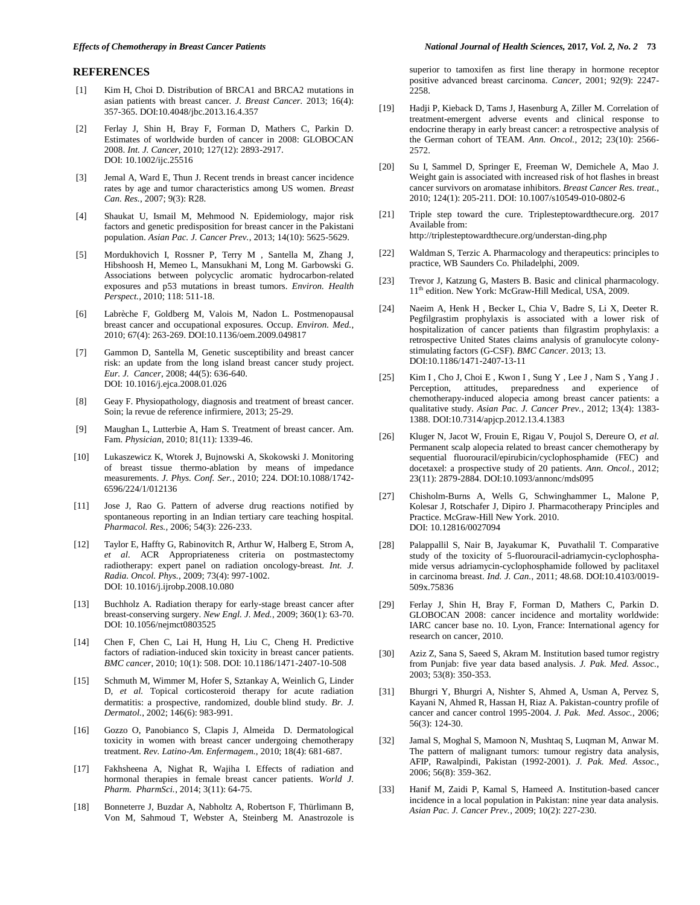#### **REFERENCES**

- [1] Kim H, Choi D. Distribution of BRCA1 and BRCA2 mutations in asian patients with breast cancer. *J. Breast Cancer.* 2013; 16(4): 357-365. DOI:10.4048/jbc.2013.16.4.357
- [2] Ferlay J, Shin H, Bray F, Forman D, Mathers C, Parkin D. Estimates of worldwide burden of cancer in 2008: GLOBOCAN 2008. *Int. J. Cancer,* 2010; 127(12): 2893-2917. DOI: 10.1002/ijc.25516
- [3] Jemal A, Ward E, Thun J. Recent trends in breast cancer incidence rates by age and tumor characteristics among US women. *Breast Can. Res.*, 2007; 9(3): R28.
- [4] Shaukat U, Ismail M, Mehmood N. Epidemiology, major risk factors and genetic predisposition for breast cancer in the Pakistani population. *Asian Pac. J. Cancer Prev.*, 2013; 14(10): 5625-5629.
- [5] Mordukhovich I, Rossner P, Terry M , Santella M, Zhang J, Hibshoosh H, Memeo L, Mansukhani M, Long M. Garbowski G. Associations between polycyclic aromatic hydrocarbon-related exposures and p53 mutations in breast tumors. *Environ. Health Perspect.,* 2010; 118: 511-18.
- [6] Labrèche F, Goldberg M, Valois M, Nadon L. Postmenopausal breast cancer and occupational exposures. Occup. *Environ. Med.*, 2010; 67(4): 263-269. DOI:10.1136/oem.2009.049817
- [7] Gammon D, Santella M, Genetic susceptibility and breast cancer risk: an update from the long island breast cancer study project. *Eur. J. Cancer*, 2008; 44(5): 636-640. DOI: 10.1016/j.ejca.2008.01.026
- [8] Geay F. Physiopathology, diagnosis and treatment of breast cancer. Soin; la revue de reference infirmiere, 2013; 25-29.
- [9] Maughan L, Lutterbie A, Ham S. Treatment of breast cancer. Am. Fam. *Physician*, 2010; 81(11): 1339-46.
- [10] Lukaszewicz K, Wtorek J, Bujnowski A, Skokowski J. Monitoring of breast tissue thermo-ablation by means of impedance measurements. *J. Phys. Conf. Ser.*, 2010; 224. DOI:10.1088/1742- 6596/224/1/012136
- [11] Jose J, Rao G. Pattern of adverse drug reactions notified by spontaneous reporting in an Indian tertiary care teaching hospital. *Pharmacol. Res.,* 2006; 54(3): 226-233.
- [12] Taylor E, Haffty G, Rabinovitch R, Arthur W, Halberg E, Strom A, *et al.* ACR Appropriateness criteria on postmastectomy radiotherapy: expert panel on radiation oncology-breast*. Int. J. Radia. Oncol. Phys.*, 2009; 73(4): 997-1002. DOI: 10.1016/j.ijrobp.2008.10.080
- [13] Buchholz A. Radiation therapy for early-stage breast cancer after breast-conserving surgery. *New Engl. J. Med.*, 2009; 360(1): 63-70. DOI: 10.1056/nejmct0803525
- [14] Chen F, Chen C, Lai H, Hung H, Liu C, Cheng H. Predictive factors of radiation-induced skin toxicity in breast cancer patients. *BMC cancer*, 2010; 10(1): 508. DOI: 10.1186/1471-2407-10-508
- [15] Schmuth M, Wimmer M, Hofer S, Sztankay A, Weinlich G, Linder D, *et al.* Topical corticosteroid therapy for acute radiation dermatitis: a prospective, randomized, double blind study. *Br. J. Dermatol.*, 2002; 146(6): 983-991.
- [16] Gozzo O, Panobianco S, Clapis J, Almeida D. Dermatological toxicity in women with breast cancer undergoing chemotherapy treatment. *Rev. Latino-Am. Enfermagem.*, 2010; 18(4): 681-687.
- [17] Fakhsheena A, Nighat R, Wajiha I. Effects of radiation and hormonal therapies in female breast cancer patients. *World J. Pharm. PharmSci.*, 2014; 3(11): 64-75.
- [18] Bonneterre J, Buzdar A, Nabholtz A, Robertson F, Thürlimann B, Von M, Sahmoud T, Webster A, Steinberg M. Anastrozole is

superior to tamoxifen as first line therapy in hormone receptor positive advanced breast carcinoma. *Cancer*, 2001; 92(9): 2247- 2258.

- [19] Hadji P, Kieback D, Tams J, Hasenburg A, Ziller M. Correlation of treatment-emergent adverse events and clinical response to endocrine therapy in early breast cancer: a retrospective analysis of the German cohort of TEAM. *Ann. Oncol.*, 2012; 23(10): 2566- 2572.
- [20] Su I, Sammel D, Springer E, Freeman W, Demichele A, Mao J. Weight gain is associated with increased risk of hot flashes in breast cancer survivors on aromatase inhibitors. *Breast Cancer Res. treat.*, 2010; 124(1): 205-211. DOI: 10.1007/s10549-010-0802-6
- [21] Triple step toward the cure. Triplesteptowardthecure.org. 2017 Available from: http://triplesteptowardthecure.org/understan-ding.php
- [22] Waldman S, Terzic A. Pharmacology and therapeutics: principles to practice, WB Saunders Co. Philadelphi, 2009.
- [23] Trevor J, Katzung G, Masters B. Basic and clinical pharmacology. 11<sup>th</sup> edition. New York: McGraw-Hill Medical, USA, 2009.
- [24] Naeim A, Henk H , Becker L, Chia V, Badre S, Li X, Deeter R. Pegfilgrastim prophylaxis is associated with a lower risk of hospitalization of cancer patients than filgrastim prophylaxis: a retrospective United States claims analysis of granulocyte colonystimulating factors (G-CSF). *BMC Cancer*. 2013; 13. DOI:10.1186/1471-2407-13-11
- [25] Kim I, Cho J, Choi E, Kwon I, Sung Y, Lee J, Nam S, Yang J. Perception, attitudes, preparedness and experience of chemotherapy-induced alopecia among breast cancer patients: a qualitative study. *Asian Pac. J. Cancer Prev.*, 2012; 13(4): 1383- 1388. DOI:10.7314/apjcp.2012.13.4.1383
- [26] Kluger N, Jacot W, Frouin E, Rigau V, Poujol S, Dereure O, *et al.* Permanent scalp alopecia related to breast cancer chemotherapy by sequential fluorouracil/epirubicin/cyclophosphamide (FEC) and docetaxel: a prospective study of 20 patients. *Ann. Oncol.*, 2012; 23(11): 2879-2884. DOI:10.1093/annonc/mds095
- [27] Chisholm-Burns A, Wells G, Schwinghammer L, Malone P, Kolesar J, Rotschafer J, Dipiro J. Pharmacotherapy Principles and Practice. McGraw-Hill New York. 2010. DOI: 10.12816/0027094
- [28] Palappallil S, Nair B, Jayakumar K, Puvathalil T. Comparative study of the toxicity of 5-fluorouracil-adriamycin-cyclophosphamide versus adriamycin-cyclophosphamide followed by paclitaxel in carcinoma breast. *Ind. J. Can.*, 2011; 48.68. DOI:10.4103/0019- 509x.75836
- [29] Ferlay J, Shin H, Bray F, Forman D, Mathers C, Parkin D. GLOBOCAN 2008: cancer incidence and mortality worldwide: IARC cancer base no. 10. Lyon, France: International agency for research on cancer, 2010.
- [30] Aziz Z, Sana S, Saeed S, Akram M. Institution based tumor registry from Punjab: five year data based analysis. *J. Pak. Med. Assoc.*, 2003; 53(8): 350-353.
- [31] Bhurgri Y, Bhurgri A, Nishter S, Ahmed A, Usman A, Pervez S, Kayani N, Ahmed R, Hassan H, Riaz A. Pakistan-country profile of cancer and cancer control 1995-2004. *J. Pak. Med. Assoc.*, 2006; 56(3): 124-30.
- [32] Jamal S, Moghal S, Mamoon N, Mushtaq S, Luqman M, Anwar M. The pattern of malignant tumors: tumour registry data analysis, AFIP, Rawalpindi, Pakistan (1992-2001). *J. Pak. Med. Assoc.*, 2006; 56(8): 359-362.
- [33] Hanif M, Zaidi P, Kamal S, Hameed A. Institution-based cancer incidence in a local population in Pakistan: nine year data analysis. *Asian Pac. J. Cancer Prev.*, 2009; 10(2): 227-230.